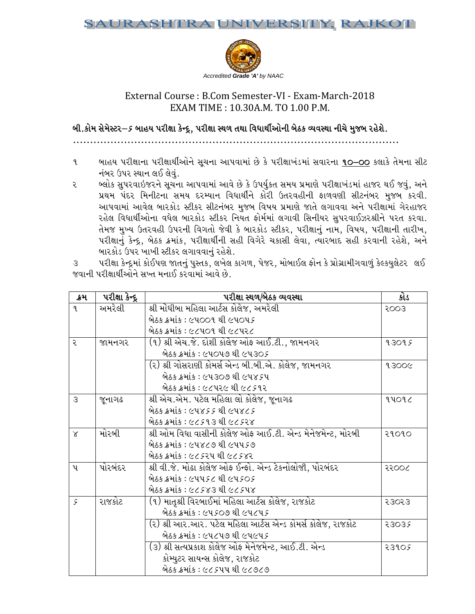

# External Course: B.Com Semester-VI - Exam-March-2018 EXAM TIME: 10.30A.M. TO 1.00 P.M.

બી.કોમ સેમેસ્ટર $-\varepsilon$  બાહય પરીક્ષા કેન્દ્ર, પરીક્ષા સ્થળ તથા વિધાર્થીઓની બેઠક વ્યવસ્થા નીચે મુજબ રહેશે.

- બાહય પરીક્ષાના પરીક્ષાર્થીઓને સૂચના આપવામાં છે કે પરીક્ષાખંડમાં સવારના **૧૦–૦૦** કલાકે તેમના સીટ  $\mathbf{q}$ નંબર ઉપર સ્થાન લઈ લેવું.
- બ્લોક સુપરવાઇજરને સૂચના આપવામાં આવે છે કે ઉપર્યુકત સમય પ્રમાણે પરીક્ષાખંડમાં હાજર થઈ જવું, અને ૨ પ્રથમ પંદર મિનીટના સમય દરમ્યાન વિધાર્થીને કોરી ઉતરવહીની ફાળવણી સીટનંબર મુજબ કરવી. આપવામાં આવેલ બારકોડ સ્ટીકર સીટનંબર મુજબ વિષય પ્રમાણે જાતે લગાવવા અને પરીક્ષામાં ગેરહાજર રહેલ વિધાર્થીઓના વધેલ બારકોડ સ્ટીકર નિયત ફોર્મમાં લગાવી સિનીયર સુપરવાઈઝરશ્રીને પરત કરવા. તેમજ મુખ્ય ઉતરવહી ઉપરની વિગતો જેવી કે બારકોડ સ્ટીકર, પરીક્ષાનું નામ, વિષય, પરીક્ષાની તારીખ, પરીક્ષાનું કેન્દ્ર, બેઠક ક્રમાંક, પરીક્ષાર્થીની સહી વિગેરે ચકાસી લેવા, ત્યારબાદ સહી કરવાની રહેશે, અને બારકોડ ઉપર ખાખી સ્ટીકર લગાવવાનું રહેશે.

પરીક્ષા કેન્દ્રમાં કોઈપણ જાતનું પુસ્તક, લખેલ કાગળ, પેજર, મોબાઈલ ફોન કે પ્રોગ્રામીગવાળું કેલ્કયુલેટર લઈ  $\mathcal{S}$ જવાની પરીક્ષાર્થીઓને સખ્ત મનાઈ કરવામાં આવે છે.

| ક્રમ          | <u>પરી</u> ક્ષા કેન્દ્ર | પરીક્ષા સ્થળ/બેઠક વ્યવસ્થા                                          | કોડ   |
|---------------|-------------------------|---------------------------------------------------------------------|-------|
| $\mathbf{q}$  | અમરેલી                  | શ્રી મોંઘીબા મહિલા આર્ટસ કોલેજ, અમરેલી                              | 5003  |
|               |                         | બેઠક ક્રમાંક : ૯૫૦૦૧ થી ૯૫૦૫૬                                       |       |
|               |                         | બેઠક ક્રમાંક : ૯૮૫૦૧ થી ૯૮૫૨૮                                       |       |
| २             | જામનગર                  | (૧) શ્રી એચ.જે. દોશી કોલેજ ઓફ આઈ.ટી., જામનગર                        | 93095 |
|               |                         | બેઠક ક્રમાંક : ૯૫૦૫૭ થી ૯૫૩૦૬                                       |       |
|               |                         | (૨) શ્રી ગોસરાણી કોમર્સ એન્ડ બી.બી.એ. કોલેજ, જામનગર                 | 93006 |
|               |                         | બેઠક ક્રમાંક : ૯૫૩૦૭ થી ૯૫૪૬૫                                       |       |
|               |                         | બેઠક ક્રમાંક : ૯૮૫૨૯ થી ૯૮૬૧૨                                       |       |
| 3             | જૂનાગઢ                  | શ્રી એચ.એમ. પટેલ મહિલા લો કોલેજ, જૂનાગઢ                             | 44092 |
|               |                         | બેઠક ક્રમાંક : ૯૫૪૬૬ થી ૯૫૪૮૬                                       |       |
|               |                         | બેઠક ક્રમાંક : ૯૮૬૧૩ થી ૯૮૬૨૪                                       |       |
| $\times$      | મોરબી                   | શ્રી ઓમ વિઘા વાસીની કોલેજ ઓફ આઈ.ટી. એન્ડ મેનેજમેન્ટ, મોરબી<br>२१०१० |       |
|               |                         | બેઠક ક્રમાંક : ૯૫૪૮૭ થી ૯૫૫૬૭                                       |       |
|               |                         | બેઠક ક્રમાંક : ૯૮૬૨૫ થી ૯૮૬૪૨                                       |       |
| ิบุ           | પોરબંદર                 | શ્રી વી.જે. મોઢા કોલેજ ઓફ ઈન્ફો. એન્ડ ટેકનોલોજી, પોરબંદર<br>૨૨૦૦૮   |       |
|               |                         | બેઠક ક્રમાંક : ૯૫૫૬૮ થી ૯૫૬૦૬                                       |       |
|               |                         | બેઠક ક્રમાંક : ૯૮૬૪૩ થી ૯૮૬૫૪                                       |       |
| $\mathcal{S}$ | રાજકોટ                  | (૧) માતૃશ્રી વિરબાઈમાં મહિલા આર્ટસ કોલેજ, રાજકોટ                    | २३०२३ |
|               |                         | બેઠક ક્રમાંક : ૯૫૬૦૭ થી ૯૫૮૫૬                                       |       |
|               |                         | (૨) શ્રી આર.આર. પટેલ મહિલા આર્ટસ એન્ડ કોમર્સ કોલેજ, રાજકોટ          | 23035 |
|               |                         | બેઠક ક્રમાંક : ૯૫૮૫૭ થી ૯૫૯૫૬                                       |       |
|               |                         | (૩) શ્રી સત્યપ્રકાશ કોલેજ ઓફ મેનેજમેન્ટ, આઈ.ટી. એન્ડ                | २३१०६ |
|               |                         | કોમ્યુટર સાયન્સ કોલેજ, રાજકોટ                                       |       |
|               |                         | બેઠક ક્રમાંક : ૯૮૬૫૫ થી ૯૮૭૮૭                                       |       |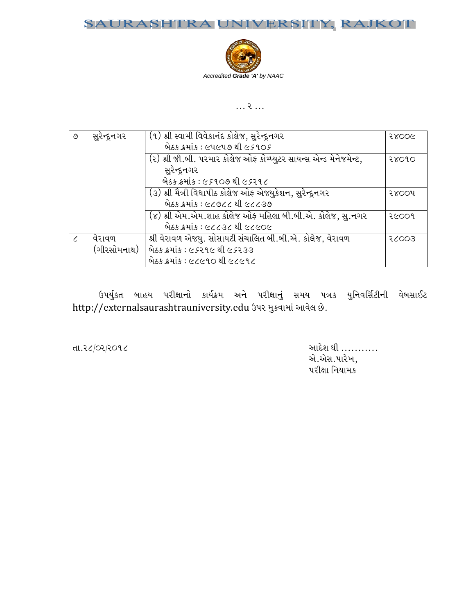## SAURASHTRA UNIVERSITY, RAJKOT



## $\ldots$  ?  $\ldots$

| ৩ | સુરેન્દ્રનગર | (૧) શ્રી સ્વામી વિવેકાનંદ કોલેજ, સુરેન્દ્રનગર                       | 58006 |
|---|--------------|---------------------------------------------------------------------|-------|
|   |              | બેઠક ક્રમાંક : ૯૫૯૫૭ થી ૯૬૧૦૬                                       |       |
|   |              | (૨) શ્રી જી.બી. પરમાર કોલેજ ઓફ કોમ્પ્યુટર સાયન્સ એન્ડ મેનેજમેન્ટ,   | २४०१० |
|   |              | સુરેન્દ્રનગર                                                        |       |
|   |              | બેઠક ક્રમાંક : ૯૬૧૦૭ થી ૯૬૨૧૮                                       |       |
|   |              | (૩) શ્રી મૈત્રી વિધાપીઠ કોલેજ <del>ઓફ એ</del> જયુકેશન, સુરેન્દ્રનગર | २४००५ |
|   |              | બેઠક ક્રમાંક : ૯૮૭૮૮ થી ૯૮૮૩૭                                       |       |
|   |              | (૪) શ્રી એમ.એમ.શાહ કોલેજ ઓફ મહિલા બી.બી.એ. કોલેજ, સુ.નગર            | २૯००१ |
|   |              | બેઠક ક્રમાંક : ૯૮૮૩૮ થી ૯૮૯૦૯                                       |       |
|   | વેરાવળ       | શ્રી વેરાવળ એજયુ. સોસાયટી સંચાલિત બી.બી.એ. કોલેજ, વેરાવળ            | 5003  |
|   | (ગીરસોમનાથ)  | બેઠક ક્રમાંક : ૯ <i>૬</i> ૨૧૯ થી ૯ <i>૬</i> ૨૩૩                     |       |
|   |              | બેઠક ક્રમાંક : ૯૮૯૧૦ થી ૯૮૯૧૮                                       |       |

ઉપર્યુકત બાહય પરીક્ષાનો કાર્યક્રમ અને પરીક્ષાનું સમય પત્રક યુનિવર્સિટીની વેબસાઈટ http://externalsaurashtrauniversity.edu ઉપર મુકવામાં આવેલ છે.

તા.૨૮/૦૨/૨૦૧૮

આદેશ થી ........... એ.એસ.પારેખ, પરીક્ષા નિયામક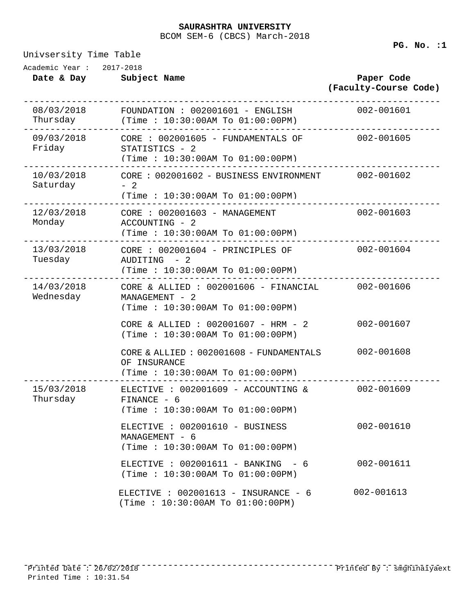### BCOM SEM-6 (CBCS) March-2018 **SAURASHTRA UNIVERSITY**

Univsersity Time Table

**PG. No. :1** 

| Academic Year : | 2017-2018    |
|-----------------|--------------|
| Date & Day      | Subject Name |

| Date & Day Subject Name                   |                                                                                                                   | Paper Code<br>(Faculty-Course Code) |
|-------------------------------------------|-------------------------------------------------------------------------------------------------------------------|-------------------------------------|
|                                           | 08/03/2018  FOUNDATION : 002001601 - ENGLISH<br>Thursday (Time : $10:30:00$ AM To $01:00:00$ PM)                  | $002 - 001601$                      |
| Friday STATISTICS - 2                     | (Time: $10:30:00AM$ To $01:00:00PM$ )                                                                             |                                     |
| Saturday<br>________________________      | 10/03/2018 CORE : 002001602 - BUSINESS ENVIRONMENT 002-001602<br>$-2$<br>(Time: $10:30:00AM$ To $01:00:00PM$ )    |                                     |
| Monday<br>------------------------------- | ACCOUNTING - 2<br>(Time: 10:30:00AM To 01:00:00PM)                                                                | 002-001603                          |
| Tuesday                                   | AUDITING - 2<br>(Time: 10:30:00AM To 01:00:00PM)                                                                  | 002-001604                          |
| Wednesday                                 | 14/03/2018 CORE & ALLIED : 002001606 - FINANCIAL 002-001606<br>MANAGEMENT - 2<br>(Time: 10:30:00AM To 01:00:00PM) |                                     |
|                                           | CORE & ALLIED : $002001607$ - HRM - 2<br>(Time: 10:30:00AM To 01:00:00PM)                                         | 002-001607                          |
|                                           | CORE & ALLIED: 002001608 - FUNDAMENTALS<br>OF INSURANCE<br>(Time: 10:30:00AM To 01:00:00PM)                       | 002-001608                          |
| Thursday                                  | 15/03/2018 ELECTIVE : 002001609 - ACCOUNTING & 002-001609<br>FINANCE - 6<br>(Time: 10:30:00AM To 01:00:00PM)      |                                     |
|                                           | ELECTIVE : 002001610 - BUSINESS<br>MANAGEMENT - 6<br>(Time: 10:30:00AM To 01:00:00PM)                             | 002-001610                          |
|                                           | ELECTIVE : $002001611 - BANKING - 6$<br>(Time : 10:30:00AM To 01:00:00PM)                                         | 002-001611                          |
|                                           | ELECTIVE : $002001613 - INSURANCE - 6$<br>(Time: $10:30:00AM$ To $01:00:00PM$ )                                   | 002-001613                          |